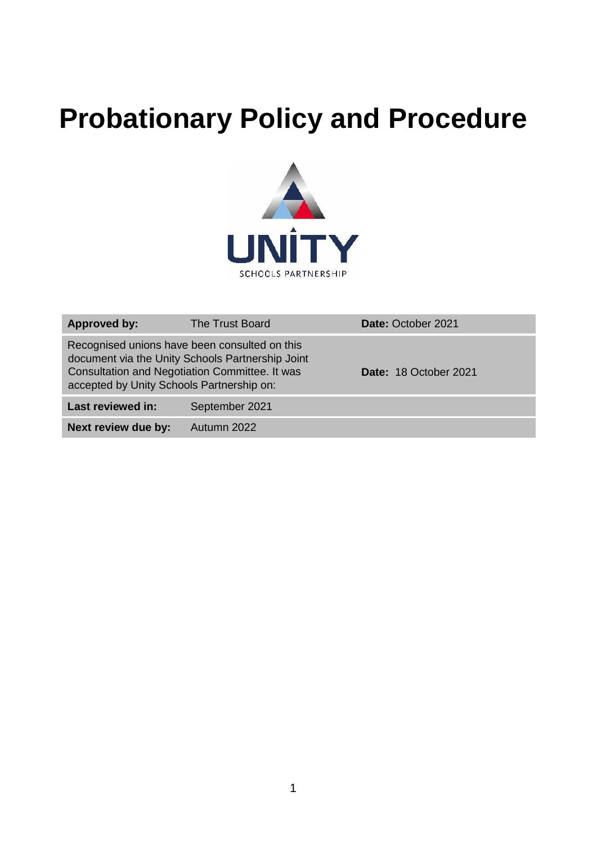# **Probationary Policy and Procedure**



| Approved by:                                                                                                                                 | <b>The Trust Board</b>                           | Date: October 2021    |
|----------------------------------------------------------------------------------------------------------------------------------------------|--------------------------------------------------|-----------------------|
| Recognised unions have been consulted on this<br>Consultation and Negotiation Committee. It was<br>accepted by Unity Schools Partnership on: | document via the Unity Schools Partnership Joint | Date: 18 October 2021 |
| Last reviewed in:<br>September 2021                                                                                                          |                                                  |                       |
| Next review due by:<br>Autumn 2022                                                                                                           |                                                  |                       |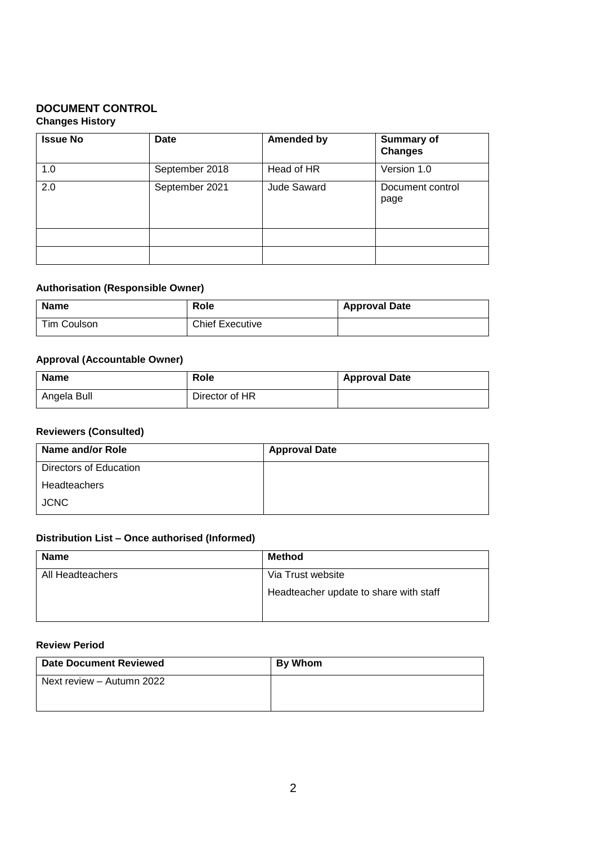#### **DOCUMENT CONTROL Changes History**

| <b>Issue No</b> | Date           | <b>Amended by</b>  | <b>Summary of</b><br><b>Changes</b> |
|-----------------|----------------|--------------------|-------------------------------------|
| 1.0             | September 2018 | Head of HR         | Version 1.0                         |
| 2.0             | September 2021 | <b>Jude Saward</b> | Document control<br>page            |
|                 |                |                    |                                     |
|                 |                |                    |                                     |

#### **Authorisation (Responsible Owner)**

| Name        | Role                   | <b>Approval Date</b> |
|-------------|------------------------|----------------------|
| Tim Coulson | <b>Chief Executive</b> |                      |

#### **Approval (Accountable Owner)**

| <b>Name</b> | Role           | <b>Approval Date</b> |
|-------------|----------------|----------------------|
| Angela Bull | Director of HR |                      |

#### **Reviewers (Consulted)**

| Name and/or Role       | <b>Approval Date</b> |
|------------------------|----------------------|
| Directors of Education |                      |
| Headteachers           |                      |
| <b>JCNC</b>            |                      |

#### **Distribution List – Once authorised (Informed)**

| <b>Name</b>      | <b>Method</b>                          |
|------------------|----------------------------------------|
| All Headteachers | Via Trust website                      |
|                  | Headteacher update to share with staff |
|                  |                                        |

#### **Review Period**

| <b>Date Document Reviewed</b> | By Whom |
|-------------------------------|---------|
| Next review - Autumn 2022     |         |
|                               |         |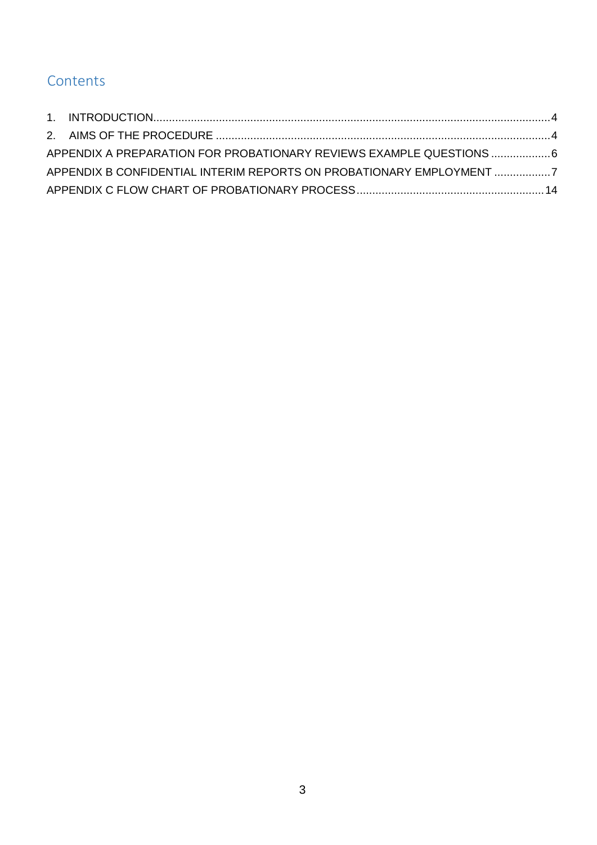# **Contents**

| APPENDIX A PREPARATION FOR PROBATIONARY REVIEWS EXAMPLE QUESTIONS  6 |  |
|----------------------------------------------------------------------|--|
| APPENDIX B CONFIDENTIAL INTERIM REPORTS ON PROBATIONARY EMPLOYMENT 7 |  |
|                                                                      |  |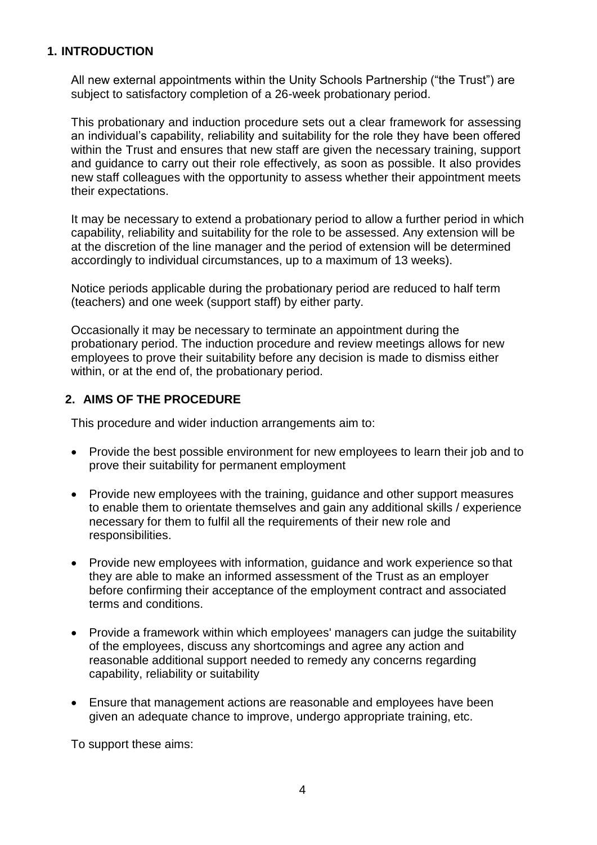## <span id="page-3-0"></span>**1. INTRODUCTION**

All new external appointments within the Unity Schools Partnership ("the Trust") are subject to satisfactory completion of a 26-week probationary period.

This probationary and induction procedure sets out a clear framework for assessing an individual's capability, reliability and suitability for the role they have been offered within the Trust and ensures that new staff are given the necessary training, support and guidance to carry out their role effectively, as soon as possible. It also provides new staff colleagues with the opportunity to assess whether their appointment meets their expectations.

It may be necessary to extend a probationary period to allow a further period in which capability, reliability and suitability for the role to be assessed. Any extension will be at the discretion of the line manager and the period of extension will be determined accordingly to individual circumstances, up to a maximum of 13 weeks).

Notice periods applicable during the probationary period are reduced to half term (teachers) and one week (support staff) by either party.

Occasionally it may be necessary to terminate an appointment during the probationary period. The induction procedure and review meetings allows for new employees to prove their suitability before any decision is made to dismiss either within, or at the end of, the probationary period.

#### <span id="page-3-1"></span>**2. AIMS OF THE PROCEDURE**

This procedure and wider induction arrangements aim to:

- Provide the best possible environment for new employees to learn their job and to prove their suitability for permanent employment
- Provide new employees with the training, guidance and other support measures to enable them to orientate themselves and gain any additional skills / experience necessary for them to fulfil all the requirements of their new role and responsibilities.
- Provide new employees with information, guidance and work experience so that they are able to make an informed assessment of the Trust as an employer before confirming their acceptance of the employment contract and associated terms and conditions.
- Provide a framework within which employees' managers can judge the suitability of the employees, discuss any shortcomings and agree any action and reasonable additional support needed to remedy any concerns regarding capability, reliability or suitability
- Ensure that management actions are reasonable and employees have been given an adequate chance to improve, undergo appropriate training, etc.

To support these aims: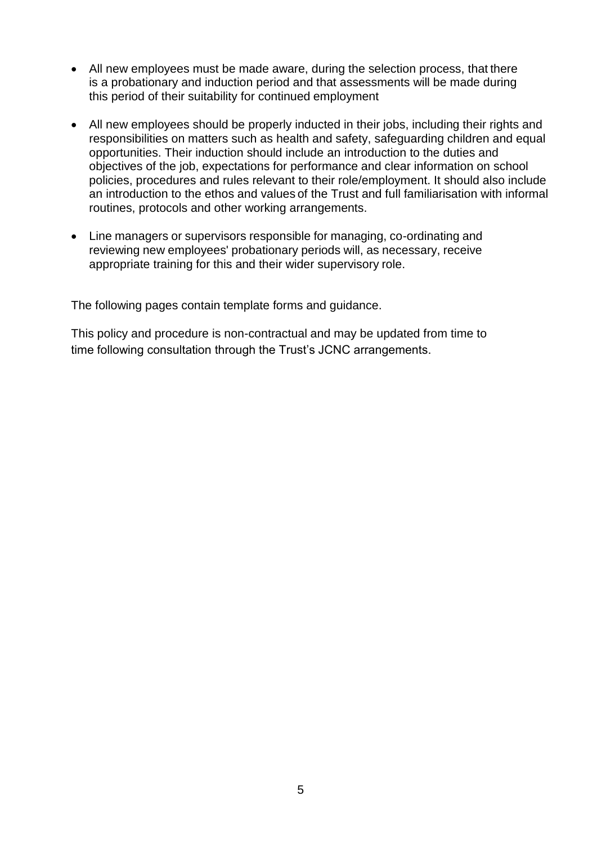- All new employees must be made aware, during the selection process, that there is a probationary and induction period and that assessments will be made during this period of their suitability for continued employment
- All new employees should be properly inducted in their jobs, including their rights and responsibilities on matters such as health and safety, safeguarding children and equal opportunities. Their induction should include an introduction to the duties and objectives of the job, expectations for performance and clear information on school policies, procedures and rules relevant to their role/employment. It should also include an introduction to the ethos and values of the Trust and full familiarisation with informal routines, protocols and other working arrangements.
- Line managers or supervisors responsible for managing, co-ordinating and reviewing new employees' probationary periods will, as necessary, receive appropriate training for this and their wider supervisory role.

The following pages contain template forms and guidance.

This policy and procedure is non-contractual and may be updated from time to time following consultation through the Trust's JCNC arrangements.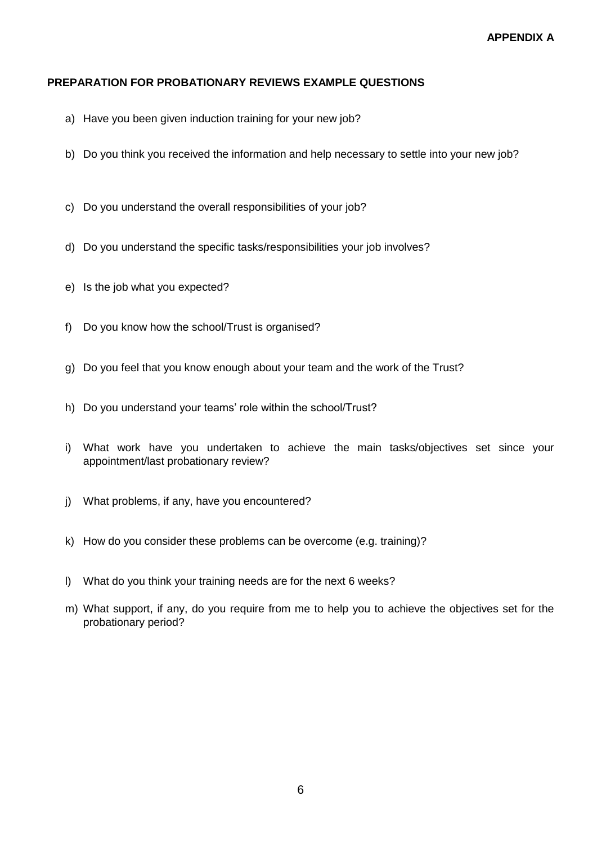#### <span id="page-5-1"></span><span id="page-5-0"></span>**PREPARATION FOR PROBATIONARY REVIEWS EXAMPLE QUESTIONS**

- a) Have you been given induction training for your new job?
- b) Do you think you received the information and help necessary to settle into your new job?
- c) Do you understand the overall responsibilities of your job?
- d) Do you understand the specific tasks/responsibilities your job involves?
- e) Is the job what you expected?
- f) Do you know how the school/Trust is organised?
- g) Do you feel that you know enough about your team and the work of the Trust?
- h) Do you understand your teams' role within the school/Trust?
- i) What work have you undertaken to achieve the main tasks/objectives set since your appointment/last probationary review?
- j) What problems, if any, have you encountered?
- k) How do you consider these problems can be overcome (e.g. training)?
- l) What do you think your training needs are for the next 6 weeks?
- m) What support, if any, do you require from me to help you to achieve the objectives set for the probationary period?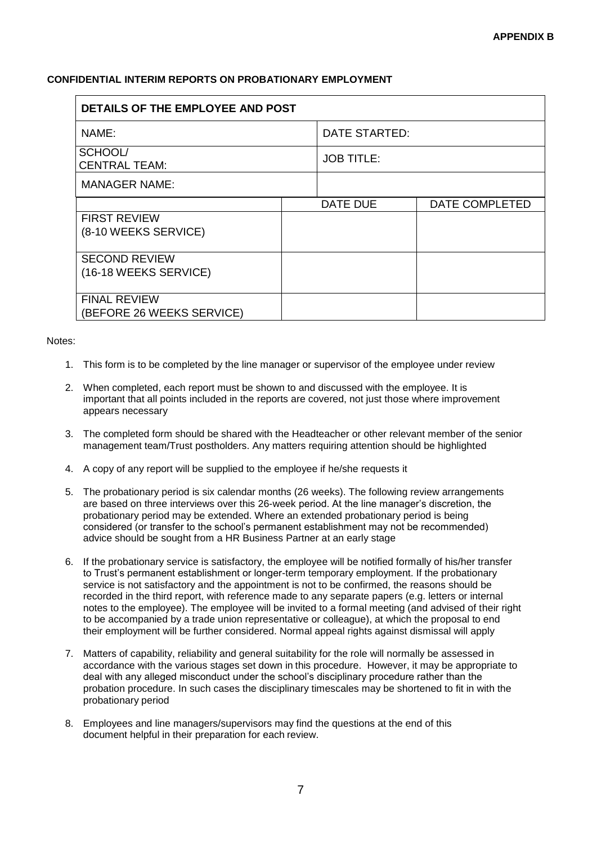#### <span id="page-6-1"></span><span id="page-6-0"></span>**CONFIDENTIAL INTERIM REPORTS ON PROBATIONARY EMPLOYMENT**

| DETAILS OF THE EMPLOYEE AND POST |  |                   |                |
|----------------------------------|--|-------------------|----------------|
| NAME:                            |  | DATE STARTED:     |                |
| SCHOOL/<br><b>CENTRAL TEAM:</b>  |  | <b>JOB TITLE:</b> |                |
| <b>MANAGER NAME:</b>             |  |                   |                |
|                                  |  | <b>DATE DUE</b>   | DATE COMPLETED |
| <b>FIRST REVIEW</b>              |  |                   |                |
| (8-10 WEEKS SERVICE)             |  |                   |                |
| <b>SECOND REVIEW</b>             |  |                   |                |
| (16-18 WEEKS SERVICE)            |  |                   |                |
| <b>FINAL REVIEW</b>              |  |                   |                |
| (BEFORE 26 WEEKS SERVICE)        |  |                   |                |

#### Notes:

- 1. This form is to be completed by the line manager or supervisor of the employee under review
- 2. When completed, each report must be shown to and discussed with the employee. It is important that all points included in the reports are covered, not just those where improvement appears necessary
- 3. The completed form should be shared with the Headteacher or other relevant member of the senior management team/Trust postholders. Any matters requiring attention should be highlighted
- 4. A copy of any report will be supplied to the employee if he/she requests it
- 5. The probationary period is six calendar months (26 weeks). The following review arrangements are based on three interviews over this 26-week period. At the line manager's discretion, the probationary period may be extended. Where an extended probationary period is being considered (or transfer to the school's permanent establishment may not be recommended) advice should be sought from a HR Business Partner at an early stage
- 6. If the probationary service is satisfactory, the employee will be notified formally of his/her transfer to Trust's permanent establishment or longer-term temporary employment. If the probationary service is not satisfactory and the appointment is not to be confirmed, the reasons should be recorded in the third report, with reference made to any separate papers (e.g. letters or internal notes to the employee). The employee will be invited to a formal meeting (and advised of their right to be accompanied by a trade union representative or colleague), at which the proposal to end their employment will be further considered. Normal appeal rights against dismissal will apply
- 7. Matters of capability, reliability and general suitability for the role will normally be assessed in accordance with the various stages set down in this procedure. However, it may be appropriate to deal with any alleged misconduct under the school's disciplinary procedure rather than the probation procedure. In such cases the disciplinary timescales may be shortened to fit in with the probationary period
- 8. Employees and line managers/supervisors may find the questions at the end of this document helpful in their preparation for each review.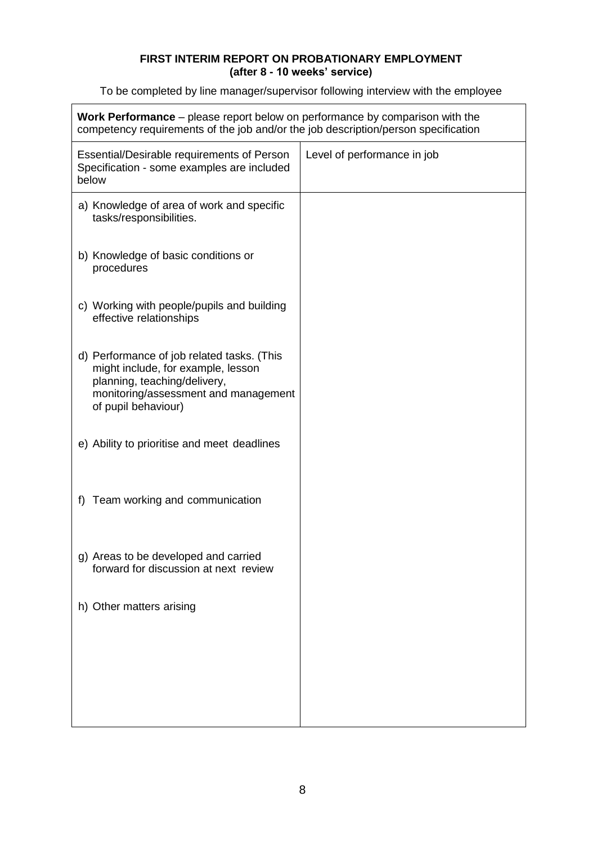#### **FIRST INTERIM REPORT ON PROBATIONARY EMPLOYMENT (after 8 - 10 weeks' service)**

To be completed by line manager/supervisor following interview with the employee

| Work Performance – please report below on performance by comparison with the<br>competency requirements of the job and/or the job description/person specification              |                             |  |
|---------------------------------------------------------------------------------------------------------------------------------------------------------------------------------|-----------------------------|--|
| Essential/Desirable requirements of Person<br>Specification - some examples are included<br>below                                                                               | Level of performance in job |  |
| a) Knowledge of area of work and specific<br>tasks/responsibilities.                                                                                                            |                             |  |
| b) Knowledge of basic conditions or<br>procedures                                                                                                                               |                             |  |
| c) Working with people/pupils and building<br>effective relationships                                                                                                           |                             |  |
| d) Performance of job related tasks. (This<br>might include, for example, lesson<br>planning, teaching/delivery,<br>monitoring/assessment and management<br>of pupil behaviour) |                             |  |
| e) Ability to prioritise and meet deadlines                                                                                                                                     |                             |  |
| f) Team working and communication                                                                                                                                               |                             |  |
| g) Areas to be developed and carried<br>forward for discussion at next review                                                                                                   |                             |  |
| h) Other matters arising                                                                                                                                                        |                             |  |
|                                                                                                                                                                                 |                             |  |
|                                                                                                                                                                                 |                             |  |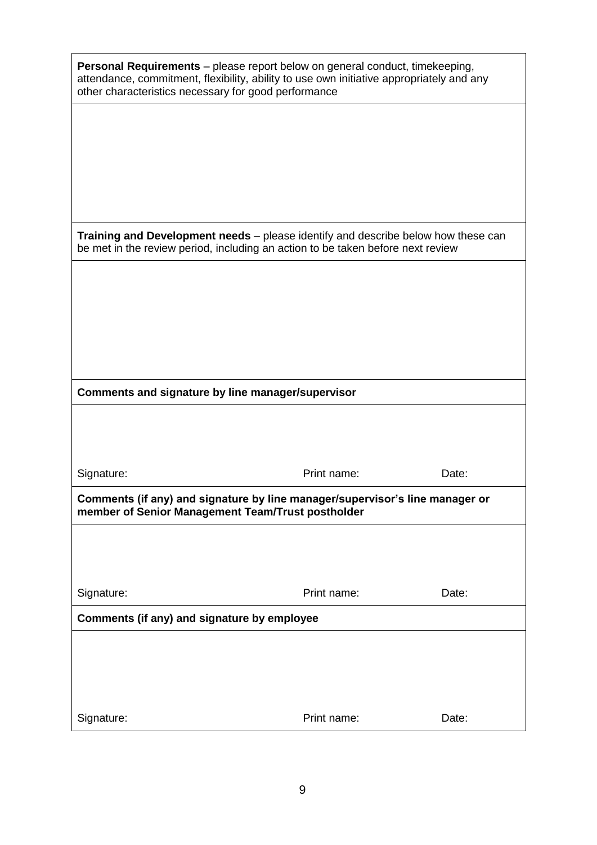| other characteristics necessary for good performance | Personal Requirements - please report below on general conduct, timekeeping,<br>attendance, commitment, flexibility, ability to use own initiative appropriately and any |       |
|------------------------------------------------------|--------------------------------------------------------------------------------------------------------------------------------------------------------------------------|-------|
|                                                      |                                                                                                                                                                          |       |
|                                                      |                                                                                                                                                                          |       |
|                                                      |                                                                                                                                                                          |       |
|                                                      |                                                                                                                                                                          |       |
|                                                      | Training and Development needs - please identify and describe below how these can<br>be met in the review period, including an action to be taken before next review     |       |
|                                                      |                                                                                                                                                                          |       |
|                                                      |                                                                                                                                                                          |       |
|                                                      |                                                                                                                                                                          |       |
|                                                      |                                                                                                                                                                          |       |
| Comments and signature by line manager/supervisor    |                                                                                                                                                                          |       |
|                                                      |                                                                                                                                                                          |       |
|                                                      |                                                                                                                                                                          |       |
| Signature:                                           | Print name:                                                                                                                                                              | Date: |
|                                                      |                                                                                                                                                                          |       |
| member of Senior Management Team/Trust postholder    | Comments (if any) and signature by line manager/supervisor's line manager or                                                                                             |       |
|                                                      |                                                                                                                                                                          |       |
|                                                      |                                                                                                                                                                          |       |
| Signature:                                           | Print name:                                                                                                                                                              | Date: |
| Comments (if any) and signature by employee          |                                                                                                                                                                          |       |
|                                                      |                                                                                                                                                                          |       |
|                                                      |                                                                                                                                                                          |       |
|                                                      |                                                                                                                                                                          |       |
| Signature:                                           | Print name:                                                                                                                                                              | Date: |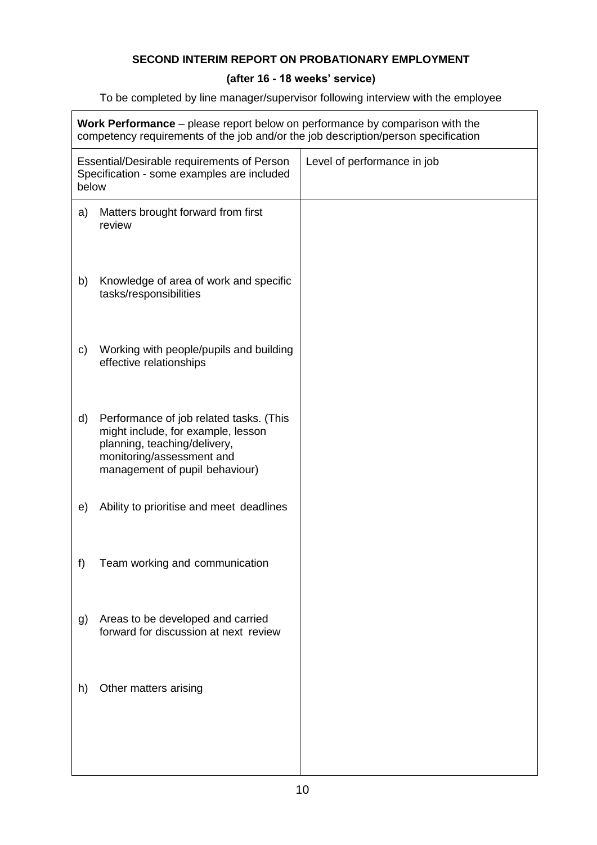### **SECOND INTERIM REPORT ON PROBATIONARY EMPLOYMENT**

# **(after 16 - 18 weeks' service)**

To be completed by line manager/supervisor following interview with the employee

| Work Performance – please report below on performance by comparison with the<br>competency requirements of the job and/or the job description/person specification |                                                                                                                                                                              |                             |
|--------------------------------------------------------------------------------------------------------------------------------------------------------------------|------------------------------------------------------------------------------------------------------------------------------------------------------------------------------|-----------------------------|
| Essential/Desirable requirements of Person<br>Specification - some examples are included<br>below                                                                  |                                                                                                                                                                              | Level of performance in job |
| a)                                                                                                                                                                 | Matters brought forward from first<br>review                                                                                                                                 |                             |
| b)                                                                                                                                                                 | Knowledge of area of work and specific<br>tasks/responsibilities                                                                                                             |                             |
| c)                                                                                                                                                                 | Working with people/pupils and building<br>effective relationships                                                                                                           |                             |
| d)                                                                                                                                                                 | Performance of job related tasks. (This<br>might include, for example, lesson<br>planning, teaching/delivery,<br>monitoring/assessment and<br>management of pupil behaviour) |                             |
| e)                                                                                                                                                                 | Ability to prioritise and meet deadlines                                                                                                                                     |                             |
| f)                                                                                                                                                                 | Team working and communication                                                                                                                                               |                             |
| g)                                                                                                                                                                 | Areas to be developed and carried<br>forward for discussion at next review                                                                                                   |                             |
| h)                                                                                                                                                                 | Other matters arising                                                                                                                                                        |                             |
|                                                                                                                                                                    |                                                                                                                                                                              |                             |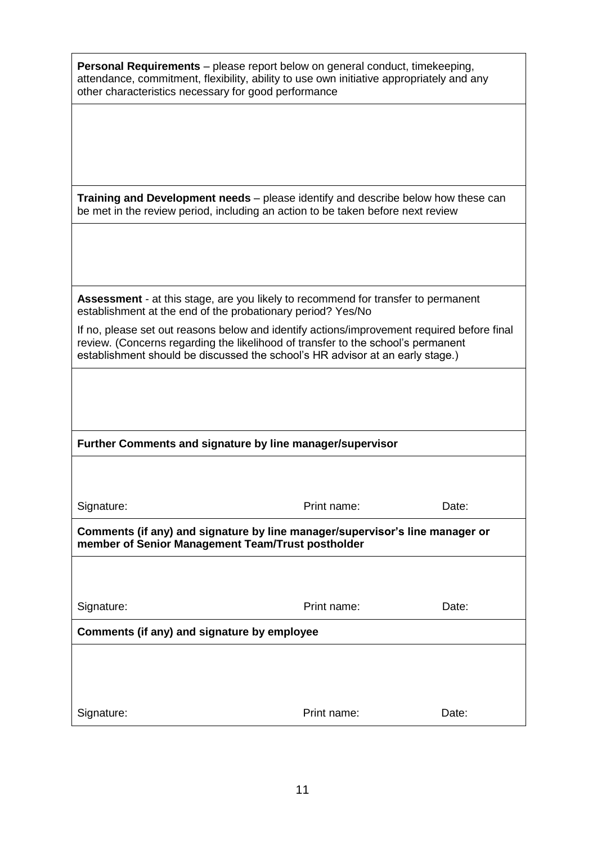| <b>Personal Requirements</b> – please report below on general conduct, timekeeping,<br>attendance, commitment, flexibility, ability to use own initiative appropriately and any<br>other characteristics necessary for good performance                         |             |       |  |  |
|-----------------------------------------------------------------------------------------------------------------------------------------------------------------------------------------------------------------------------------------------------------------|-------------|-------|--|--|
|                                                                                                                                                                                                                                                                 |             |       |  |  |
|                                                                                                                                                                                                                                                                 |             |       |  |  |
|                                                                                                                                                                                                                                                                 |             |       |  |  |
| <b>Training and Development needs</b> – please identify and describe below how these can<br>be met in the review period, including an action to be taken before next review                                                                                     |             |       |  |  |
|                                                                                                                                                                                                                                                                 |             |       |  |  |
|                                                                                                                                                                                                                                                                 |             |       |  |  |
| <b>Assessment</b> - at this stage, are you likely to recommend for transfer to permanent<br>establishment at the end of the probationary period? Yes/No                                                                                                         |             |       |  |  |
| If no, please set out reasons below and identify actions/improvement required before final<br>review. (Concerns regarding the likelihood of transfer to the school's permanent<br>establishment should be discussed the school's HR advisor at an early stage.) |             |       |  |  |
|                                                                                                                                                                                                                                                                 |             |       |  |  |
|                                                                                                                                                                                                                                                                 |             |       |  |  |
| Further Comments and signature by line manager/supervisor                                                                                                                                                                                                       |             |       |  |  |
|                                                                                                                                                                                                                                                                 |             |       |  |  |
| Signature:                                                                                                                                                                                                                                                      | Print name: | Date: |  |  |
| Comments (if any) and signature by line manager/supervisor's line manager or<br>member of Senior Management Team/Trust postholder                                                                                                                               |             |       |  |  |
|                                                                                                                                                                                                                                                                 |             |       |  |  |
| Signature:                                                                                                                                                                                                                                                      | Print name: | Date: |  |  |
| Comments (if any) and signature by employee                                                                                                                                                                                                                     |             |       |  |  |
|                                                                                                                                                                                                                                                                 |             |       |  |  |
|                                                                                                                                                                                                                                                                 |             |       |  |  |
| Signature:                                                                                                                                                                                                                                                      | Print name: | Date: |  |  |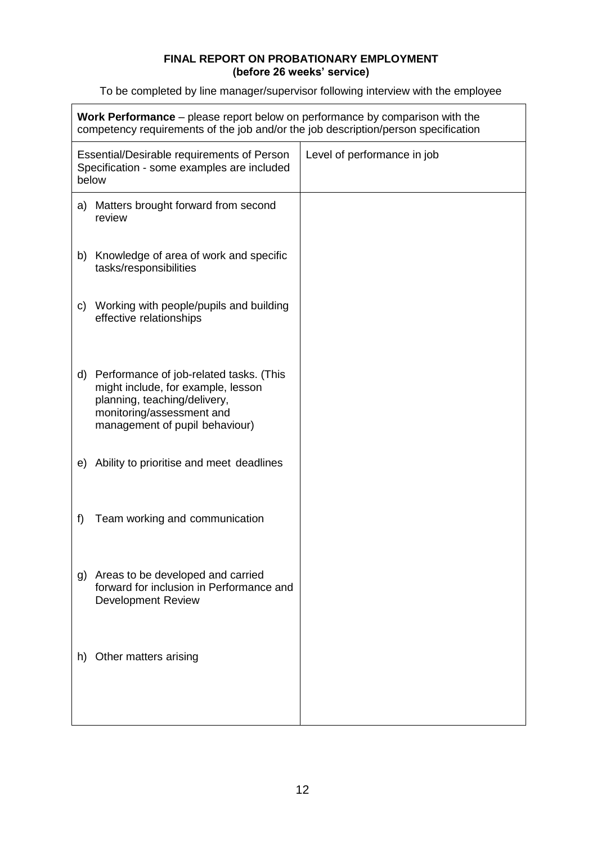#### **FINAL REPORT ON PROBATIONARY EMPLOYMENT (before 26 weeks' service)**

To be completed by line manager/supervisor following interview with the employee

| <b>Work Performance</b> – please report below on performance by comparison with the<br>competency requirements of the job and/or the job description/person specification          |                             |  |  |  |
|------------------------------------------------------------------------------------------------------------------------------------------------------------------------------------|-----------------------------|--|--|--|
| Essential/Desirable requirements of Person<br>Specification - some examples are included<br>below                                                                                  | Level of performance in job |  |  |  |
| Matters brought forward from second<br>a)<br>review                                                                                                                                |                             |  |  |  |
| b) Knowledge of area of work and specific<br>tasks/responsibilities                                                                                                                |                             |  |  |  |
| Working with people/pupils and building<br>C)<br>effective relationships                                                                                                           |                             |  |  |  |
| Performance of job-related tasks. (This<br>d)<br>might include, for example, lesson<br>planning, teaching/delivery,<br>monitoring/assessment and<br>management of pupil behaviour) |                             |  |  |  |
| Ability to prioritise and meet deadlines<br>e)                                                                                                                                     |                             |  |  |  |
| f)<br>Team working and communication                                                                                                                                               |                             |  |  |  |
| Areas to be developed and carried<br>g)<br>forward for inclusion in Performance and<br><b>Development Review</b>                                                                   |                             |  |  |  |
| Other matters arising<br>h)                                                                                                                                                        |                             |  |  |  |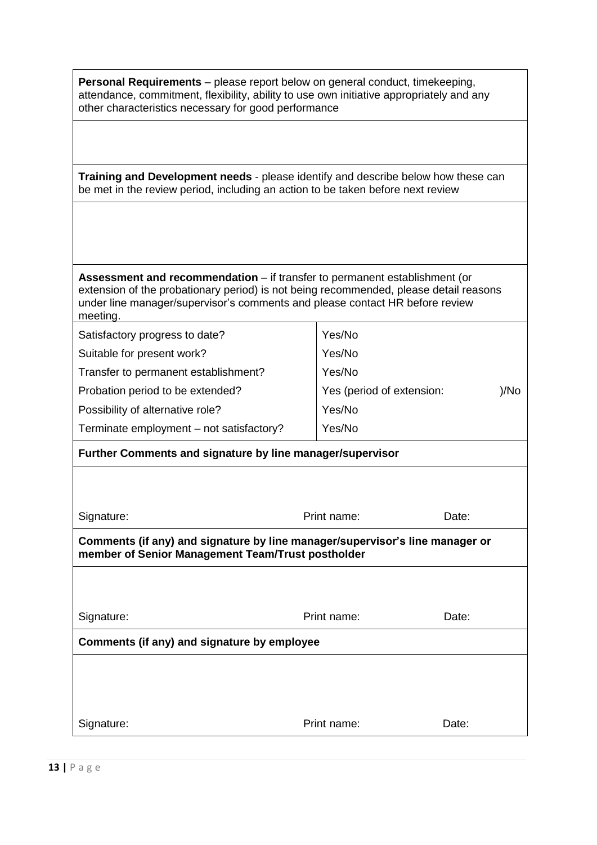| <b>Personal Requirements</b> – please report below on general conduct, timekeeping,<br>attendance, commitment, flexibility, ability to use own initiative appropriately and any<br>other characteristics necessary for good performance                         |                           |       |  |  |
|-----------------------------------------------------------------------------------------------------------------------------------------------------------------------------------------------------------------------------------------------------------------|---------------------------|-------|--|--|
|                                                                                                                                                                                                                                                                 |                           |       |  |  |
| Training and Development needs - please identify and describe below how these can<br>be met in the review period, including an action to be taken before next review                                                                                            |                           |       |  |  |
|                                                                                                                                                                                                                                                                 |                           |       |  |  |
|                                                                                                                                                                                                                                                                 |                           |       |  |  |
| Assessment and recommendation – if transfer to permanent establishment (or<br>extension of the probationary period) is not being recommended, please detail reasons<br>under line manager/supervisor's comments and please contact HR before review<br>meeting. |                           |       |  |  |
| Satisfactory progress to date?                                                                                                                                                                                                                                  | Yes/No                    |       |  |  |
| Suitable for present work?                                                                                                                                                                                                                                      | Yes/No                    |       |  |  |
| Transfer to permanent establishment?                                                                                                                                                                                                                            | Yes/No                    |       |  |  |
| Probation period to be extended?                                                                                                                                                                                                                                | Yes (period of extension: | )/No  |  |  |
| Possibility of alternative role?                                                                                                                                                                                                                                | Yes/No                    |       |  |  |
| Terminate employment - not satisfactory?                                                                                                                                                                                                                        | Yes/No                    |       |  |  |
| Further Comments and signature by line manager/supervisor                                                                                                                                                                                                       |                           |       |  |  |
|                                                                                                                                                                                                                                                                 |                           |       |  |  |
| Signature:                                                                                                                                                                                                                                                      | Print name:               | Date: |  |  |
| Comments (if any) and signature by line manager/supervisor's line manager or<br>member of Senior Management Team/Trust postholder                                                                                                                               |                           |       |  |  |
|                                                                                                                                                                                                                                                                 |                           |       |  |  |
| Signature:                                                                                                                                                                                                                                                      | Print name:               | Date: |  |  |
| Comments (if any) and signature by employee                                                                                                                                                                                                                     |                           |       |  |  |
|                                                                                                                                                                                                                                                                 |                           |       |  |  |
|                                                                                                                                                                                                                                                                 |                           |       |  |  |
| Signature:                                                                                                                                                                                                                                                      | Print name:               | Date: |  |  |
|                                                                                                                                                                                                                                                                 |                           |       |  |  |